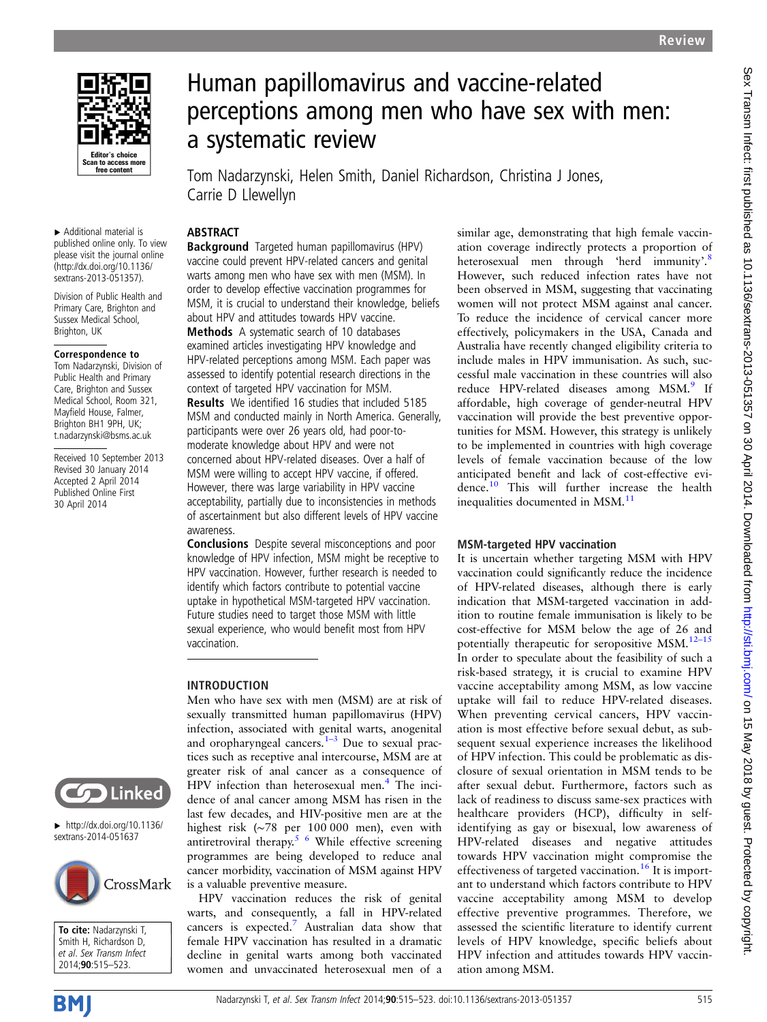

▸ Additional material is published online only. To view please visit the journal online [\(http://dx.doi.org/10.1136/](http://dx.doi.org/10.1136/sextrans-2013-051357) [sextrans-2013-051357\)](http://dx.doi.org/10.1136/sextrans-2013-051357).

Division of Public Health and Primary Care, Brighton and Sussex Medical School, Brighton, UK

#### Correspondence to

Tom Nadarzynski, Division of Public Health and Primary Care, Brighton and Sussex Medical School, Room 321, Mayfield House, Falmer, Brighton BH1 9PH, UK; t.nadarzynski@bsms.ac.uk

Received 10 September 2013 Revised 30 January 2014 Accepted 2 April 2014 Published Online First 30 April 2014



 $\blacktriangleright$  [http://dx.doi.org/10.1136/](http://dx.doi.org/10.1136/sextrans-2014-051637) [sextrans-2014-051637](http://dx.doi.org/10.1136/sextrans-2014-051637)



To cite: Nadarzynski T, Smith H, Richardson D, et al. Sex Transm Infect 2014;90:515–523.

# Human papillomavirus and vaccine-related perceptions among men who have sex with men: a systematic review

Tom Nadarzynski, Helen Smith, Daniel Richardson, Christina J Jones, Carrie D Llewellyn

# **ABSTRACT**

Background Targeted human papillomavirus (HPV) vaccine could prevent HPV-related cancers and genital warts among men who have sex with men (MSM). In order to develop effective vaccination programmes for MSM, it is crucial to understand their knowledge, beliefs about HPV and attitudes towards HPV vaccine.

Methods A systematic search of 10 databases examined articles investigating HPV knowledge and HPV-related perceptions among MSM. Each paper was assessed to identify potential research directions in the context of targeted HPV vaccination for MSM. Results We identified 16 studies that included 5185 MSM and conducted mainly in North America. Generally, participants were over 26 years old, had poor-tomoderate knowledge about HPV and were not concerned about HPV-related diseases. Over a half of MSM were willing to accept HPV vaccine, if offered. However, there was large variability in HPV vaccine acceptability, partially due to inconsistencies in methods of ascertainment but also different levels of HPV vaccine awareness.

Conclusions Despite several misconceptions and poor knowledge of HPV infection, MSM might be receptive to HPV vaccination. However, further research is needed to identify which factors contribute to potential vaccine uptake in hypothetical MSM-targeted HPV vaccination. Future studies need to target those MSM with little sexual experience, who would benefit most from HPV vaccination.

## INTRODUCTION

Men who have sex with men (MSM) are at risk of sexually transmitted human papillomavirus (HPV) infection, associated with [geni](#page-7-0)tal warts, anogenital and oropharyngeal cancers. $1-3$  Due to sexual practices such as receptive anal intercourse, MSM are at greater risk of anal cancer as a consequence of HPV infection than heterosexual men.<sup>[4](#page-7-0)</sup> The incidence of anal cancer among MSM has risen in the last few decades, and HIV-positive men are at the highest risk (∼78 per 100 000 men), even with antiretroviral therapy.<sup>5</sup>  $\frac{6}{5}$  While effective screening programmes are being developed to reduce anal cancer morbidity, vaccination of MSM against HPV is a valuable preventive measure.

HPV vaccination reduces the risk of genital warts, and consequently, a fall in HPV-related cancers is expected.[7](#page-7-0) Australian data show that female HPV vaccination has resulted in a dramatic decline in genital warts among both vaccinated women and unvaccinated heterosexual men of a similar age, demonstrating that high female vaccination coverage indirectly protects a proportion of heterosexual men through 'herd immunity'. [8](#page-7-0) However, such reduced infection rates have not been observed in MSM, suggesting that vaccinating women will not protect MSM against anal cancer. To reduce the incidence of cervical cancer more effectively, policymakers in the USA, Canada and Australia have recently changed eligibility criteria to include males in HPV immunisation. As such, successful male vaccination in these countries will also reduce HPV-related diseases among MSM.<sup>9</sup> If affordable, high coverage of gender-neutral HPV vaccination will provide the best preventive opportunities for MSM. However, this strategy is unlikely to be implemented in countries with high coverage levels of female vaccination because of the low anticipated benefit and lack of cost-effective evidence.[10](#page-7-0) This will further increase the health inequalities documented in MSM.<sup>[11](#page-7-0)</sup>

## MSM-targeted HPV vaccination

It is uncertain whether targeting MSM with HPV vaccination could significantly reduce the incidence of HPV-related diseases, although there is early indication that MSM-targeted vaccination in addition to routine female immunisation is likely to be cost-effective for MSM below the age of 26 and potentially therapeutic for seropositive MSM. $12-15$  $12-15$ In order to speculate about the feasibility of such a risk-based strategy, it is crucial to examine HPV vaccine acceptability among MSM, as low vaccine uptake will fail to reduce HPV-related diseases. When preventing cervical cancers, HPV vaccination is most effective before sexual debut, as subsequent sexual experience increases the likelihood of HPV infection. This could be problematic as disclosure of sexual orientation in MSM tends to be after sexual debut. Furthermore, factors such as lack of readiness to discuss same-sex practices with healthcare providers (HCP), difficulty in selfidentifying as gay or bisexual, low awareness of HPV-related diseases and negative attitudes towards HPV vaccination might compromise the effectiveness of targeted vaccination.<sup>[16](#page-7-0)</sup> It is important to understand which factors contribute to HPV vaccine acceptability among MSM to develop effective preventive programmes. Therefore, we assessed the scientific literature to identify current levels of HPV knowledge, specific beliefs about HPV infection and attitudes towards HPV vaccination among MSM.

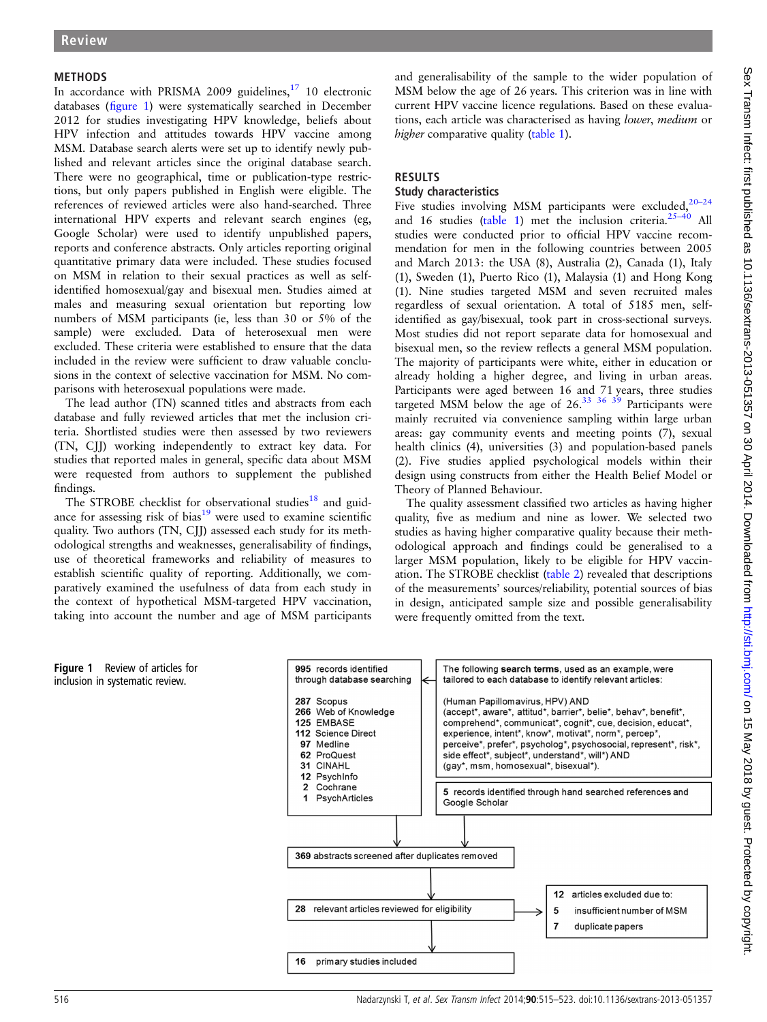#### METHODS

In accordance with PRISMA 2009 guidelines, $17$  10 electronic databases (figure 1) were systematically searched in December 2012 for studies investigating HPV knowledge, beliefs about HPV infection and attitudes towards HPV vaccine among MSM. Database search alerts were set up to identify newly published and relevant articles since the original database search. There were no geographical, time or publication-type restrictions, but only papers published in English were eligible. The references of reviewed articles were also hand-searched. Three international HPV experts and relevant search engines (eg, Google Scholar) were used to identify unpublished papers, reports and conference abstracts. Only articles reporting original quantitative primary data were included. These studies focused on MSM in relation to their sexual practices as well as selfidentified homosexual/gay and bisexual men. Studies aimed at males and measuring sexual orientation but reporting low numbers of MSM participants (ie, less than 30 or 5% of the sample) were excluded. Data of heterosexual men were excluded. These criteria were established to ensure that the data included in the review were sufficient to draw valuable conclusions in the context of selective vaccination for MSM. No comparisons with heterosexual populations were made.

The lead author (TN) scanned titles and abstracts from each database and fully reviewed articles that met the inclusion criteria. Shortlisted studies were then assessed by two reviewers (TN, CJJ) working independently to extract key data. For studies that reported males in general, specific data about MSM were requested from authors to supplement the published findings.

The STROBE checklist for observational studies<sup>[18](#page-7-0)</sup> and guidance for assessing risk of bias $19$  were used to examine scientific quality. Two authors (TN, CII) assessed each study for its methodological strengths and weaknesses, generalisability of findings, use of theoretical frameworks and reliability of measures to establish scientific quality of reporting. Additionally, we comparatively examined the usefulness of data from each study in the context of hypothetical MSM-targeted HPV vaccination, taking into account the number and age of MSM participants

995 records identified

287 Scopus 266 Web of Knowledge

125 EMBASE

62 ProQuest

12 PsychInfo Cochrane

PsychArticles

369 abstracts screened after duplicates removed

28 relevant articles reviewed for eligibility

primary studies included

31 CINAHL

 $\overline{2}$ 

 $\overline{1}$ 

16

112 Science Direct 97 Medline

through database searching

Figure 1 Review of articles for inclusion in systematic review.

and generalisability of the sample to the wider population of MSM below the age of 26 years. This criterion was in line with current HPV vaccine licence regulations. Based on these evaluations, each article was characterised as having lower, medium or higher comparative quality ([table 1\)](#page-2-0).

# **RESULTS**

## Study characteristics

Five studies involving MSM participants were excluded,<sup>[20](#page-7-0)-24</sup> and 16 studies [\(table 1](#page-2-0)) met the inclusion criteria. $25-40$  $25-40$  All studies were conducted prior to official HPV vaccine recommendation for men in the following countries between 2005 and March 2013: the USA (8), Australia (2), Canada (1), Italy (1), Sweden (1), Puerto Rico (1), Malaysia (1) and Hong Kong (1). Nine studies targeted MSM and seven recruited males regardless of sexual orientation. A total of 5185 men, selfidentified as gay/bisexual, took part in cross-sectional surveys. Most studies did not report separate data for homosexual and bisexual men, so the review reflects a general MSM population. The majority of participants were white, either in education or already holding a higher degree, and living in urban areas. Participants were aged between 16 and 71 years, three studies targeted MSM below the age of  $26$ .<sup>33 [36 39](#page-8-0)</sup> Participants were mainly recruited via convenience sampling within large urban areas: gay community events and meeting points (7), sexual health clinics (4), universities (3) and population-based panels (2). Five studies applied psychological models within their design using constructs from either the Health Belief Model or Theory of Planned Behaviour.

The quality assessment classified two articles as having higher quality, five as medium and nine as lower. We selected two studies as having higher comparative quality because their methodological approach and findings could be generalised to a larger MSM population, likely to be eligible for HPV vaccination. The STROBE checklist ([table 2\)](#page-4-0) revealed that descriptions of the measurements' sources/reliability, potential sources of bias in design, anticipated sample size and possible generalisability were frequently omitted from the text.

tailored to each database to identify relevant articles:

experience, intent\*, know\*, motivat\*, norm\*, percep\*,

12

5

 $\overline{1}$ 

duplicate papers

side effect\*, subject\*, understand\*, will\*) AND

(Human Papillomavirus, HPV) AND

(gay\*, msm, homosexual\*, bisexual\*).

Google Scholar

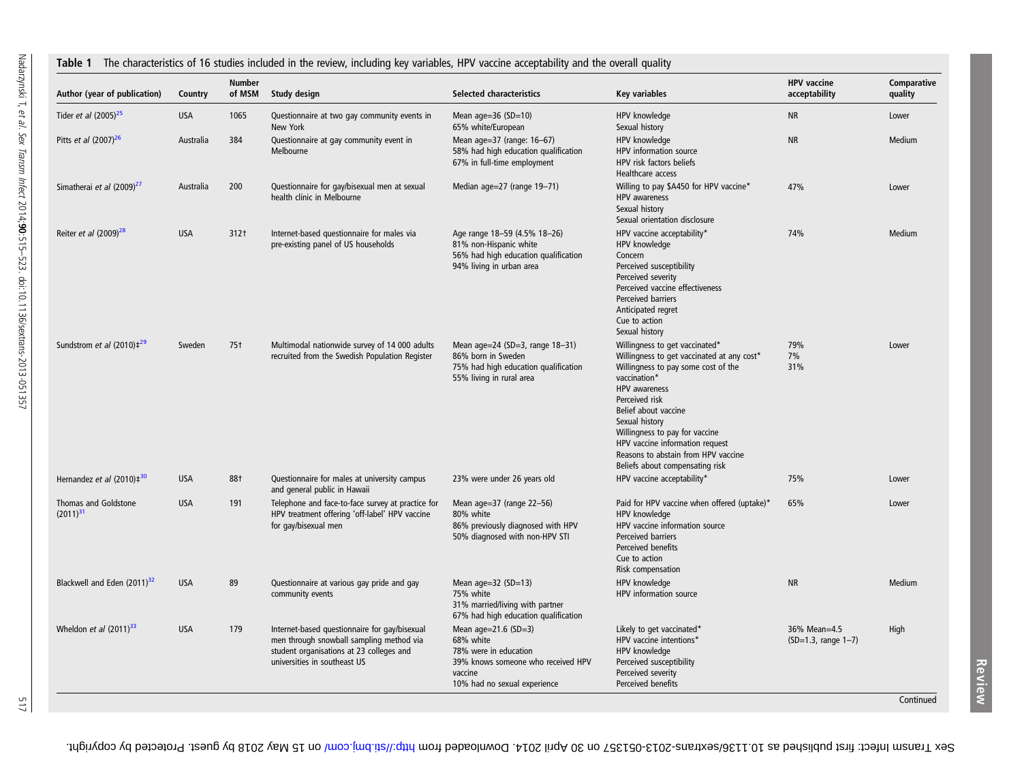<span id="page-2-0"></span>

| Author (year of publication)               | Country    | <b>Number</b><br>of MSM | Study design                                                                                                                                                          | <b>Selected characteristics</b>                                                                                                             | <b>Key variables</b>                                                                                                                                                                                                                                                                                                                                            | <b>HPV</b> vaccine<br>acceptability            | <b>Comparative</b><br>quality |
|--------------------------------------------|------------|-------------------------|-----------------------------------------------------------------------------------------------------------------------------------------------------------------------|---------------------------------------------------------------------------------------------------------------------------------------------|-----------------------------------------------------------------------------------------------------------------------------------------------------------------------------------------------------------------------------------------------------------------------------------------------------------------------------------------------------------------|------------------------------------------------|-------------------------------|
| Tider et al $(2005)^{25}$                  | <b>USA</b> | 1065                    | Questionnaire at two gay community events in<br>New York                                                                                                              | Mean age= $36$ (SD= $10$ )<br>65% white/European                                                                                            | HPV knowledge<br>Sexual history                                                                                                                                                                                                                                                                                                                                 | <b>NR</b>                                      | Lower                         |
| Pitts et al $(2007)^{26}$                  | Australia  | 384                     | Questionnaire at gay community event in<br>Melbourne                                                                                                                  | Mean age=37 (range: 16-67)<br>58% had high education qualification<br>67% in full-time employment                                           | HPV knowledge<br>HPV information source<br>HPV risk factors beliefs<br>Healthcare access                                                                                                                                                                                                                                                                        | <b>NR</b>                                      | Medium                        |
| Simatherai et al (2009) <sup>27</sup>      | Australia  | 200                     | Questionnaire for gay/bisexual men at sexual<br>health clinic in Melbourne                                                                                            | Median age=27 (range 19-71)                                                                                                                 | Willing to pay \$A450 for HPV vaccine*<br>HPV awareness<br>Sexual history<br>Sexual orientation disclosure                                                                                                                                                                                                                                                      | 47%                                            | Lower                         |
| Reiter et al (2009) <sup>28</sup>          | <b>USA</b> | 312†                    | Internet-based questionnaire for males via<br>pre-existing panel of US households                                                                                     | Age range 18-59 (4.5% 18-26)<br>81% non-Hispanic white<br>56% had high education qualification<br>94% living in urban area                  | HPV vaccine acceptability*<br>HPV knowledge<br>Concern<br>Perceived susceptibility<br>Perceived severity<br>Perceived vaccine effectiveness<br>Perceived barriers<br>Anticipated regret<br>Cue to action<br>Sexual history                                                                                                                                      | 74%                                            | Medium                        |
| Sundstrom et al $(2010)$ <sup>+29</sup>    | Sweden     | 75†                     | Multimodal nationwide survey of 14 000 adults<br>recruited from the Swedish Population Register                                                                       | Mean age= $24$ (SD=3, range $18-31$ )<br>86% born in Sweden<br>75% had high education qualification<br>55% living in rural area             | Willingness to get vaccinated*<br>Willingness to get vaccinated at any cost*<br>Willingness to pay some cost of the<br>vaccination*<br>HPV awareness<br>Perceived risk<br>Belief about vaccine<br>Sexual history<br>Willingness to pay for vaccine<br>HPV vaccine information request<br>Reasons to abstain from HPV vaccine<br>Beliefs about compensating risk | 79%<br>7%<br>31%                               | Lower                         |
| Hernandez et al (2010) $\pm$ <sup>30</sup> | <b>USA</b> | 88†                     | Questionnaire for males at university campus<br>and general public in Hawaii                                                                                          | 23% were under 26 years old                                                                                                                 | HPV vaccine acceptability*                                                                                                                                                                                                                                                                                                                                      | 75%                                            | Lower                         |
| Thomas and Goldstone<br>$(2011)^{31}$      | <b>USA</b> | 191                     | Telephone and face-to-face survey at practice for<br>HPV treatment offering 'off-label' HPV vaccine<br>for gay/bisexual men                                           | Mean age=37 (range 22-56)<br>80% white<br>86% previously diagnosed with HPV<br>50% diagnosed with non-HPV STI                               | Paid for HPV vaccine when offered (uptake)*<br>HPV knowledge<br>HPV vaccine information source<br>Perceived barriers<br>Perceived benefits<br>Cue to action<br>Risk compensation                                                                                                                                                                                | 65%                                            | Lower                         |
| Blackwell and Eden (2011) <sup>32</sup>    | <b>USA</b> | 89                      | Questionnaire at various gay pride and gay<br>community events                                                                                                        | Mean age= $32$ (SD= $13$ )<br>75% white<br>31% married/living with partner<br>67% had high education qualification                          | HPV knowledge<br>HPV information source                                                                                                                                                                                                                                                                                                                         | <b>NR</b>                                      | Medium                        |
| Wheldon et al $(2011)^{33}$                | <b>USA</b> | 179                     | Internet-based questionnaire for gay/bisexual<br>men through snowball sampling method via<br>student organisations at 23 colleges and<br>universities in southeast US | Mean age=21.6 (SD=3)<br>68% white<br>78% were in education<br>39% knows someone who received HPV<br>vaccine<br>10% had no sexual experience | Likely to get vaccinated*<br>HPV vaccine intentions*<br>HPV knowledge<br>Perceived susceptibility<br>Perceived severity<br>Perceived benefits                                                                                                                                                                                                                   | 36% Mean=4.5<br>$(SD=1.3, \text{ range } 1-7)$ | High                          |

517

Sex Transm Infect: first befieled by copyright. Approached the Downloaded from http://em/ on 15014. Protected by dected by copyright.

Review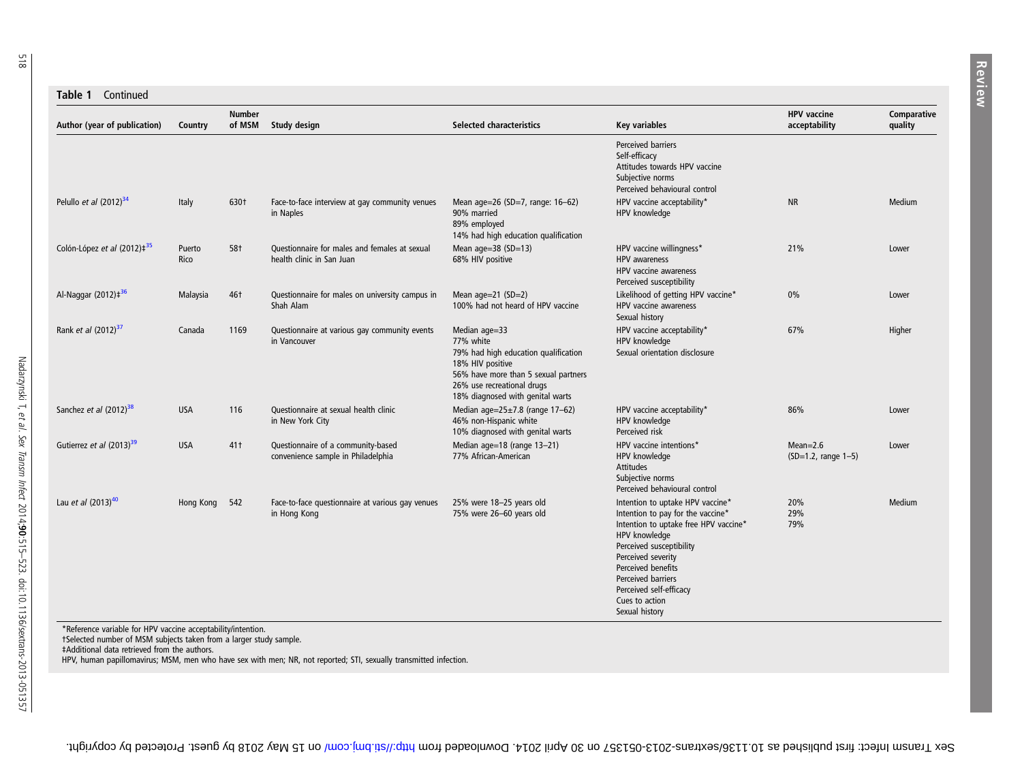| г |
|---|
|   |
|   |

| Author (year of publication)            | Country        | <b>Number</b><br>of MSM | Study design                                                               | <b>Selected characteristics</b>                                                                                                                                                                  | Key variables                                                                                                                                                                                                                                                                                | <b>HPV</b> vaccine<br>acceptability | <b>Comparative</b><br>quality |
|-----------------------------------------|----------------|-------------------------|----------------------------------------------------------------------------|--------------------------------------------------------------------------------------------------------------------------------------------------------------------------------------------------|----------------------------------------------------------------------------------------------------------------------------------------------------------------------------------------------------------------------------------------------------------------------------------------------|-------------------------------------|-------------------------------|
|                                         |                |                         |                                                                            |                                                                                                                                                                                                  | Perceived barriers<br>Self-efficacy<br>Attitudes towards HPV vaccine<br>Subjective norms<br>Perceived behavioural control                                                                                                                                                                    |                                     |                               |
| Pelullo et al $(2012)^{34}$             | Italy          | 630+                    | Face-to-face interview at gay community venues<br>in Naples                | Mean age=26 (SD=7, range: $16-62$ )<br>90% married<br>89% employed<br>14% had high education qualification                                                                                       | HPV vaccine acceptability*<br>HPV knowledge                                                                                                                                                                                                                                                  | <b>NR</b>                           | Medium                        |
| Colón-López et al (2012)‡ <sup>35</sup> | Puerto<br>Rico | 58†                     | Ouestionnaire for males and females at sexual<br>health clinic in San Juan | Mean age= $38$ (SD= $13$ )<br>68% HIV positive                                                                                                                                                   | HPV vaccine willingness*<br><b>HPV</b> awareness<br>HPV vaccine awareness<br>Perceived susceptibility                                                                                                                                                                                        | 21%                                 | Lower                         |
| Al-Naggar (2012) $\pm$ <sup>36</sup>    | Malaysia       | 46†                     | Questionnaire for males on university campus in<br>Shah Alam               | Mean $aqe=21$ (SD=2)<br>100% had not heard of HPV vaccine                                                                                                                                        | Likelihood of getting HPV vaccine*<br>HPV vaccine awareness<br>Sexual history                                                                                                                                                                                                                | 0%                                  | Lower                         |
| Rank et al (2012) <sup>37</sup>         | Canada         | 1169                    | Questionnaire at various gay community events<br>in Vancouver              | Median age=33<br>77% white<br>79% had high education qualification<br>18% HIV positive<br>56% have more than 5 sexual partners<br>26% use recreational drugs<br>18% diagnosed with genital warts | HPV vaccine acceptability*<br>HPV knowledge<br>Sexual orientation disclosure                                                                                                                                                                                                                 | 67%                                 | Higher                        |
| Sanchez et al $(2012)^{38}$             | <b>USA</b>     | 116                     | Ouestionnaire at sexual health clinic<br>in New York City                  | Median age= $25 \pm 7.8$ (range 17-62)<br>46% non-Hispanic white<br>10% diagnosed with genital warts                                                                                             | HPV vaccine acceptability*<br>HPV knowledge<br>Perceived risk                                                                                                                                                                                                                                | 86%                                 | Lower                         |
| Gutierrez et al (2013) <sup>39</sup>    | <b>USA</b>     | 41 <sup>†</sup>         | Questionnaire of a community-based<br>convenience sample in Philadelphia   | Median age=18 (range 13-21)<br>77% African-American                                                                                                                                              | HPV vaccine intentions*<br>HPV knowledge<br><b>Attitudes</b><br>Subjective norms<br>Perceived behavioural control                                                                                                                                                                            | $Mean=2.6$<br>$(SD=1.2, range 1-5)$ | Lower                         |
| Lau et al $(2013)^{40}$                 | Hong Kong      | 542                     | Face-to-face questionnaire at various gay venues<br>in Hong Kong           | 25% were 18-25 years old<br>75% were 26-60 years old                                                                                                                                             | Intention to uptake HPV vaccine*<br>Intention to pay for the vaccine*<br>Intention to uptake free HPV vaccine*<br>HPV knowledge<br>Perceived susceptibility<br>Perceived severity<br>Perceived benefits<br>Perceived barriers<br>Perceived self-efficacy<br>Cues to action<br>Sexual history | 20%<br>29%<br>79%                   | Medium                        |

518

Sex Transm Infect: first befieled by copyright. Approached the Downloaded from http://em/ on 15014. Protected by dected by copyright.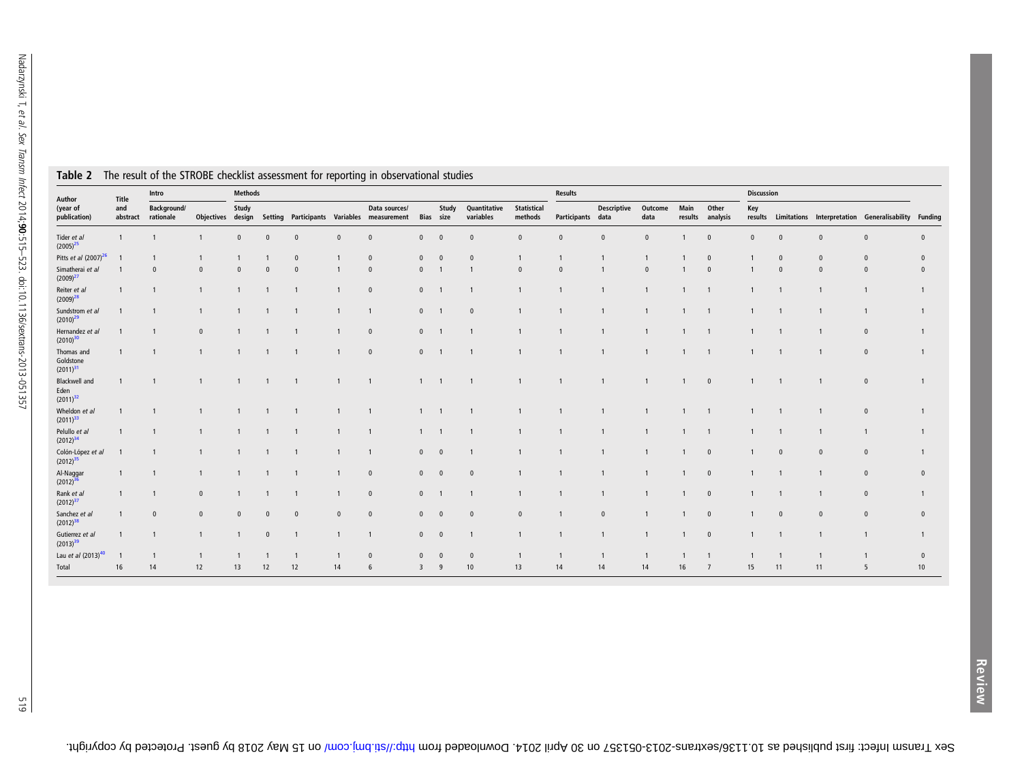| Author<br>(year of<br>publication)       |                 | Intro                    |                   | <b>Methods</b> | Results  |          |          |                                                             |              |                          |                           |                               |                   | <b>Discussion</b>  |                 |                 |                   |              |                |              |                                                             |                  |
|------------------------------------------|-----------------|--------------------------|-------------------|----------------|----------|----------|----------|-------------------------------------------------------------|--------------|--------------------------|---------------------------|-------------------------------|-------------------|--------------------|-----------------|-----------------|-------------------|--------------|----------------|--------------|-------------------------------------------------------------|------------------|
|                                          | Title           |                          |                   |                |          |          |          |                                                             |              |                          |                           |                               |                   |                    |                 |                 |                   |              |                |              |                                                             |                  |
|                                          | and<br>abstract | Background/<br>rationale | Objectives design | Study          |          |          |          | Data sources/<br>Setting Participants Variables measurement |              | Study<br>Bias size       | Quantitative<br>variables | <b>Statistical</b><br>methods | Participants data | <b>Descriptive</b> | Outcome<br>data | Main<br>results | Other<br>analysis | Key          |                |              | results Limitations Interpretation Generalisability Funding |                  |
| Tider et al<br>$(2005)^{25}$             | $\mathbf{1}$    |                          | $\mathbf{1}$      | $\Omega$       |          |          | $\Omega$ | $\Omega$                                                    | $\Omega$     | $\overline{0}$           | $\Omega$                  | $\mathbf{0}$                  | $\Omega$          | $\mathbf{0}$       | $\mathbf{0}$    |                 | $\mathbf{0}$      | $\Omega$     | $\Omega$       | $\Omega$     | $\Omega$                                                    | $\Omega$         |
| Pitts et al $(2007)^{26}$                |                 | $\mathbf{1}$             |                   |                |          | $\Omega$ |          | $\mathbf{0}$                                                |              | $\Omega$                 | $\Omega$                  |                               |                   |                    |                 |                 | $\Omega$          |              | $\Omega$       | $\Omega$     | $\Omega$                                                    |                  |
| Simatherai et al<br>$(2009)^{27}$        |                 | $\mathbf{0}$             | $\Omega$          | $\Omega$       |          |          |          | $\mathbf{0}$                                                | $\Omega$     |                          |                           | $\Omega$                      | $\Omega$          |                    |                 |                 | $\mathbf{0}$      |              | $\Omega$       | $\Omega$     | $\Omega$                                                    |                  |
| Reiter et al<br>$(2009)^{28}$            |                 | $\mathbf{1}$             | $\mathbf{1}$      |                |          |          |          | $\mathbf{0}$                                                | $\Omega$     |                          |                           |                               |                   |                    |                 |                 |                   | $\mathbf{1}$ | $\mathbf{1}$   | $\mathbf{1}$ |                                                             |                  |
| Sundstrom et al<br>$(2010)^{29}$         |                 | $\overline{1}$           | $\overline{1}$    |                |          |          |          | $\overline{1}$                                              | $\mathbf{0}$ |                          | $\Omega$                  |                               |                   | $\mathbf{1}$       |                 | $\mathbf{1}$    |                   | $\mathbf{1}$ | $\mathbf{1}$   |              |                                                             |                  |
| Hernandez et al<br>$(2010)^{30}$         |                 | $\mathbf{1}$             | $\mathbf{0}$      |                |          |          |          | $\pmb{0}$                                                   | $\mathbf{0}$ |                          |                           |                               | $\mathbf{1}$      | $\overline{1}$     |                 | $\mathbf{1}$    |                   | $\mathbf{1}$ | $\overline{1}$ |              | $\Omega$                                                    |                  |
| Thomas and<br>Goldstone<br>$(2011)^{31}$ | $\mathbf{1}$    | $\overline{1}$           | $\overline{1}$    |                |          |          |          | $\pmb{0}$                                                   | $\mathbf{0}$ | $\overline{\phantom{0}}$ |                           |                               | $\mathbf{1}$      | $\mathbf{1}$       |                 |                 |                   | $\mathbf{1}$ | $\overline{1}$ | $\mathbf{1}$ | $\mathbf 0$                                                 |                  |
| Blackwell and<br>Eden<br>$(2011)^{32}$   |                 | $\overline{1}$           | $\mathbf{1}$      |                |          |          |          | $\overline{1}$                                              | $1 \quad 1$  |                          | $\mathbf{1}$              |                               |                   |                    |                 | $\mathbf{1}$    | $\pmb{0}$         | $\mathbf{1}$ | $\overline{1}$ |              | $\mathbf 0$                                                 |                  |
| Wheldon et al<br>$(2011)^{33}$           | $\mathbf{1}$    | $\overline{1}$           | $\mathbf{1}$      |                |          |          |          | $\overline{1}$                                              | $1 \quad 1$  |                          |                           |                               | $\mathbf{1}$      | $\mathbf{1}$       |                 |                 |                   | $\mathbf{1}$ |                |              | $\mathbf{0}$                                                |                  |
| Pelullo et al<br>$(2012)^{34}$           |                 | $\overline{1}$           | $\overline{1}$    |                |          |          |          | $\overline{1}$                                              | $1 \quad 1$  |                          |                           |                               | $\overline{1}$    | $\mathbf{1}$       |                 | $\mathbf{1}$    |                   |              | $\mathbf{1}$   | $\mathbf{1}$ |                                                             |                  |
| Colón-López et al<br>$(2012)^{35}$       |                 | $\overline{1}$           | $\mathbf{1}$      |                |          |          |          | $\mathbf{1}$                                                | $\mathbf{0}$ | $\Omega$                 |                           |                               |                   |                    |                 |                 | $\mathbf{0}$      |              | $\mathbf{0}$   | $\mathbf{0}$ | $\Omega$                                                    |                  |
| Al-Naggar<br>$(2012)^{36}$               |                 |                          | $\mathbf{1}$      |                |          |          |          | $\mathbf{0}$                                                | $\mathbf{0}$ | $\overline{0}$           | $\Omega$                  |                               |                   |                    |                 |                 | $\mathbf{0}$      |              |                |              | $\Omega$                                                    |                  |
| Rank et al<br>$(2012)^{37}$              |                 | $\mathbf{1}$             | $\mathbf{0}$      |                |          |          |          | $\mathbf{0}$                                                | $\mathbf{0}$ |                          |                           |                               | $\mathbf{1}$      |                    |                 |                 | $\mathbf{0}$      | $\mathbf{1}$ | $\mathbf{1}$   | $\mathbf{1}$ | $\Omega$                                                    |                  |
| Sanchez et al<br>$(2012)^{38}$           |                 | $\mathbf 0$              | $\mathbf{0}$      | $\Omega$       |          | $\Omega$ | $\Omega$ | $\Omega$                                                    | $\mathbf{0}$ | $\Omega$                 | $\Omega$                  | $\mathbf{0}$                  |                   | $\mathbf{0}$       |                 |                 | $\mathbf{0}$      |              | $\Omega$       | $\mathbf{0}$ | $\Omega$                                                    | $\Omega$         |
| Gutierrez et al<br>$(2013)^{39}$         |                 | $\overline{1}$           | $\overline{1}$    |                | $\Omega$ |          |          | $\overline{1}$                                              | $\mathbf{0}$ | $\Omega$                 |                           |                               |                   |                    |                 |                 | $\mathbf{0}$      | $\mathbf{1}$ |                |              |                                                             |                  |
| Lau et al (2013) <sup>40</sup>           |                 | $\overline{1}$           | $\overline{1}$    |                |          |          |          | $\mathbf{0}$                                                |              |                          | $\Omega$                  |                               | $\overline{1}$    |                    |                 |                 |                   |              |                |              |                                                             | $\mathbf{0}$     |
| Total                                    | 16              | 14                       | 12                | 13             | 12       | 12       | 14       | 6                                                           |              | 9                        | 10 <sup>10</sup>          | 13                            | 14                | 14                 | 14              | 16              | $\overline{7}$    | 15           | 11             | 11           | 5                                                           | 10 <sup>10</sup> |

<span id="page-4-0"></span>Table 2 The result of the STROBE checklist assessment for reporting in observational studies

519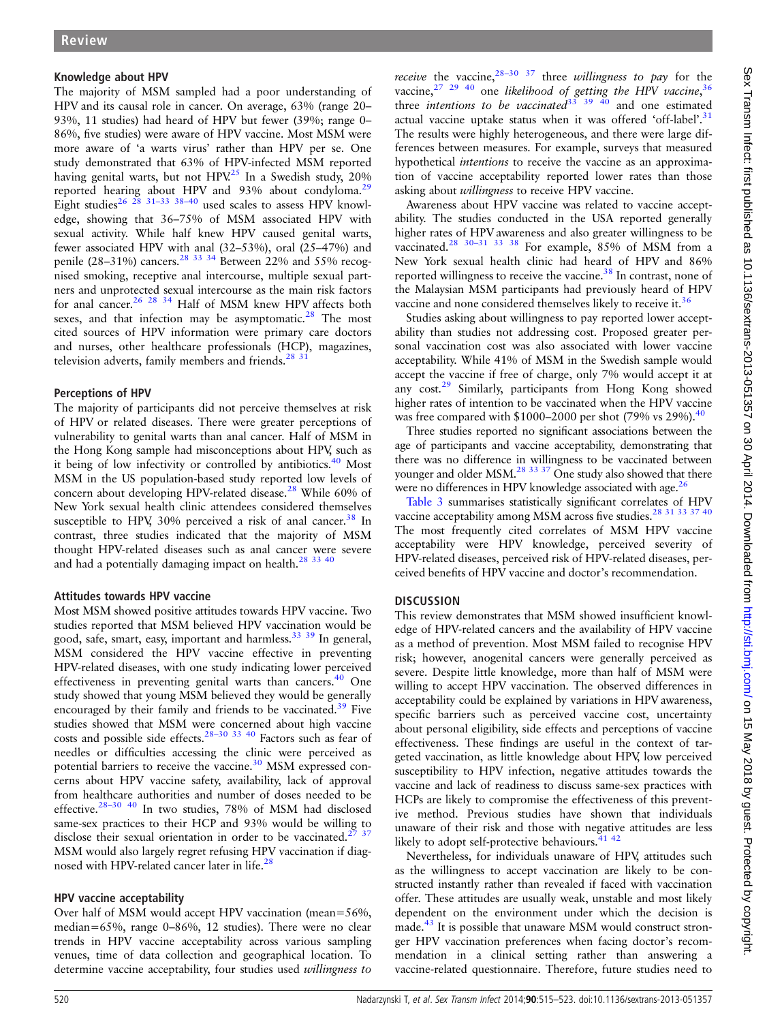#### Knowledge about HPV

The majority of MSM sampled had a poor understanding of HPV and its causal role in cancer. On average, 63% (range 20– 93%, 11 studies) had heard of HPV but fewer (39%; range 0– 86%, five studies) were aware of HPV vaccine. Most MSM were more aware of 'a warts virus' rather than HPV per se. One study demonstrated that 63% of HPV-infected MSM reported having genital warts, but not HPV.<sup>[25](#page-7-0)</sup> In a Swedish study, 20% reported hearing about HPV and 93% about condyloma.<sup>29</sup> Eight studies<sup>26</sup> <sup>28</sup> <sup>31–[33](#page-7-0)</sup> <sup>38–[40](#page-8-0)</sup> used scales to assess HPV knowledge, showing that 36–75% of MSM associated HPV with sexual activity. While half knew HPV caused genital warts, fewer associated HPV with anal (32–53%), oral (25–47%) and penile (28–31%) cancers.<sup>28 33</sup> <sup>34</sup> Between 22% and 55% recognised smoking, receptive anal intercourse, multiple sexual partners and unprotected sexual intercourse as the main risk factors for anal cancer.[26 28 34](#page-7-0) Half of MSM knew HPV affects both sexes, and that infection may be asymptomatic. $^{28}$  The most cited sources of HPV information were primary care doctors and nurses, other healthcare professionals (HCP), magazines, television adverts, family members and friends. $28\frac{31}{10}$ 

## Perceptions of HPV

The majority of participants did not perceive themselves at risk of HPV or related diseases. There were greater perceptions of vulnerability to genital warts than anal cancer. Half of MSM in the Hong Kong sample had misconceptions about HPV, such as it being of low infectivity or controlled by antibiotics.<sup>[40](#page-8-0)</sup> Most MSM in the US population-based study reported low levels of concern about developing HPV-related disease.<sup>28</sup> While 60% of New York sexual health clinic attendees considered themselves susceptible to HPV,  $30\%$  perceived a risk of anal cancer.<sup>[38](#page-8-0)</sup> In contrast, three studies indicated that the majority of MSM thought HPV-related diseases such as anal cancer were severe and had a potentially damaging impact on health.<sup>[28 33](#page-7-0) [40](#page-8-0)</sup>

## Attitudes towards HPV vaccine

Most MSM showed positive attitudes towards HPV vaccine. Two studies reported that MSM believed HPV vaccination would be good, safe, smart, easy, important and harmless.<sup>[33](#page-7-0)</sup> [39](#page-8-0) In general, MSM considered the HPV vaccine effective in preventing HPV-related diseases, with one study indicating lower perceived effectiveness in preventing genital warts than cancers. $40$  One study showed that young MSM believed they would be generally encouraged by their family and friends to be vaccinated.<sup>[39](#page-8-0)</sup> Five studies showed that MSM were concerned about high vaccine costs and possible side effects.28–[30 33](#page-7-0) [40](#page-8-0) Factors such as fear of needles or difficulties accessing the clinic were perceived as potential barriers to receive the vaccine. $30$  MSM expressed concerns about HPV vaccine safety, availability, lack of approval from healthcare authorities and number of doses needed to be effective.28–[30](#page-7-0) [40](#page-8-0) In two studies, 78% of MSM had disclosed same-sex practices to their HCP and 93% would be willing to disclose their sexual orientation in order to be vaccinated.<sup>27</sup> <sup>37</sup> MSM would also largely regret refusing HPV vaccination if diag-nosed with HPV-related cancer later in life.<sup>[28](#page-7-0)</sup>

## HPV vaccine acceptability

Over half of MSM would accept HPV vaccination (mean=56%, median=65%, range 0–86%, 12 studies). There were no clear trends in HPV vaccine acceptability across various sampling venues, time of data collection and geographical location. To determine vaccine acceptability, four studies used willingness to

receive the vaccine,  $x^{28-30}$  [37](#page-8-0) three willingness to pay for the vaccine,  $27 \frac{29}{40}$  one likelihood of getting the HPV vaccine,  $36$ three *intentions to be vaccinated*<sup>[33](#page-7-0) 39</sup> 40 and one estimated actual vaccine uptake status when it was offered 'off-label'.<sup>[31](#page-7-0)</sup> The results were highly heterogeneous, and there were large differences between measures. For example, surveys that measured hypothetical intentions to receive the vaccine as an approximation of vaccine acceptability reported lower rates than those asking about *willingness* to receive HPV vaccine.

Awareness about HPV vaccine was related to vaccine acceptability. The studies conducted in the USA reported generally higher rates of HPV awareness and also greater willingness to be vaccinated.<sup>[28](#page-7-0)</sup>  $30-31$   $33$   $38$  For example, 85% of MSM from a New York sexual health clinic had heard of HPV and 86% reported willingness to receive the vaccine.<sup>[38](#page-8-0)</sup> In contrast, none of the Malaysian MSM participants had previously heard of HPV vaccine and none considered themselves likely to receive it.<sup>[36](#page-8-0)</sup>

Studies asking about willingness to pay reported lower acceptability than studies not addressing cost. Proposed greater personal vaccination cost was also associated with lower vaccine acceptability. While 41% of MSM in the Swedish sample would accept the vaccine if free of charge, only 7% would accept it at any cost.[29](#page-7-0) Similarly, participants from Hong Kong showed higher rates of intention to be vaccinated when the HPV vaccine was free compared with  $$1000-2000$  per shot (79% vs 29%).<sup>40</sup>

Three studies reported no significant associations between the age of participants and vaccine acceptability, demonstrating that there was no difference in willingness to be vaccinated between younger and older MSM.<sup>28</sup> 33<sup>37</sup> One study also showed that there were no differences in HPV knowledge associated with age.<sup>26</sup>

[Table 3](#page-6-0) summarises statistically significant correlates of HPV vaccine acceptability among MSM across five studies.<sup>28</sup> <sup>31</sup> <sup>33</sup> <sup>37</sup> <sup>40</sup> The most frequently cited correlates of MSM HPV vaccine acceptability were HPV knowledge, perceived severity of HPV-related diseases, perceived risk of HPV-related diseases, perceived benefits of HPV vaccine and doctor's recommendation.

## **DISCUSSION**

This review demonstrates that MSM showed insufficient knowledge of HPV-related cancers and the availability of HPV vaccine as a method of prevention. Most MSM failed to recognise HPV risk; however, anogenital cancers were generally perceived as severe. Despite little knowledge, more than half of MSM were willing to accept HPV vaccination. The observed differences in acceptability could be explained by variations in HPV awareness, specific barriers such as perceived vaccine cost, uncertainty about personal eligibility, side effects and perceptions of vaccine effectiveness. These findings are useful in the context of targeted vaccination, as little knowledge about HPV, low perceived susceptibility to HPV infection, negative attitudes towards the vaccine and lack of readiness to discuss same-sex practices with HCPs are likely to compromise the effectiveness of this preventive method. Previous studies have shown that individuals unaware of their risk and those with negative attitudes are less likely to adopt self-protective behaviours.<sup>[41 42](#page-8-0)</sup>

Nevertheless, for individuals unaware of HPV, attitudes such as the willingness to accept vaccination are likely to be constructed instantly rather than revealed if faced with vaccination offer. These attitudes are usually weak, unstable and most likely dependent on the environment under which the decision is made.<sup>[43](#page-8-0)</sup> It is possible that unaware MSM would construct stronger HPV vaccination preferences when facing doctor's recommendation in a clinical setting rather than answering a vaccine-related questionnaire. Therefore, future studies need to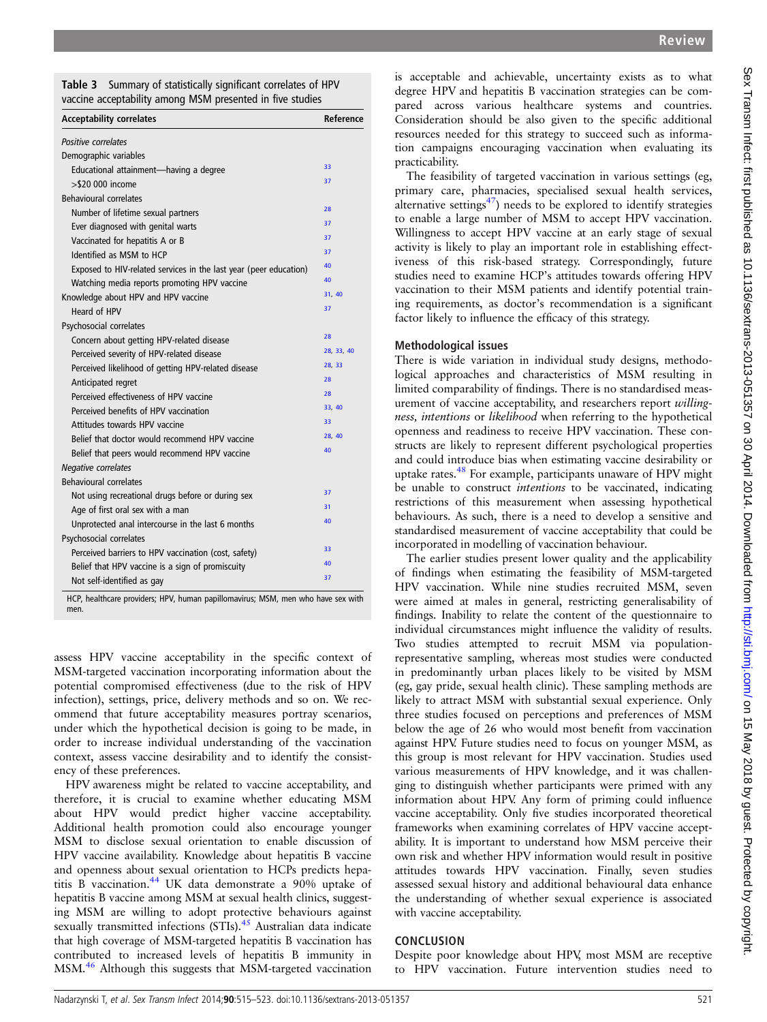<span id="page-6-0"></span>Table 3 Summary of statistically significant correlates of HPV vaccine acceptability among MSM presented in five studies

| <b>Acceptability correlates</b>                                                          | Reference  |  |  |
|------------------------------------------------------------------------------------------|------------|--|--|
| Positive correlates                                                                      |            |  |  |
| Demographic variables                                                                    |            |  |  |
| Educational attainment—having a degree                                                   | 33         |  |  |
| $>$ \$20 000 income                                                                      | 37         |  |  |
| <b>Behavioural correlates</b>                                                            |            |  |  |
| Number of lifetime sexual partners                                                       | 28         |  |  |
| Ever diagnosed with genital warts                                                        | 37         |  |  |
| Vaccinated for hepatitis A or B                                                          | 37         |  |  |
| Identified as MSM to HCP                                                                 | 37         |  |  |
| Exposed to HIV-related services in the last year (peer education)                        | 40         |  |  |
| Watching media reports promoting HPV vaccine                                             | 40         |  |  |
| Knowledge about HPV and HPV vaccine                                                      | 31, 40     |  |  |
| Heard of HPV                                                                             | 37         |  |  |
| Psychosocial correlates                                                                  |            |  |  |
| Concern about getting HPV-related disease                                                | 28         |  |  |
| Perceived severity of HPV-related disease                                                | 28, 33, 40 |  |  |
| Perceived likelihood of getting HPV-related disease                                      | 28, 33     |  |  |
| Anticipated regret                                                                       | 28         |  |  |
| Perceived effectiveness of HPV vaccine                                                   | 28         |  |  |
| Perceived benefits of HPV vaccination                                                    | 33, 40     |  |  |
| Attitudes towards HPV vaccine                                                            | 33         |  |  |
| Belief that doctor would recommend HPV vaccine                                           | 28.40      |  |  |
| Belief that peers would recommend HPV vaccine                                            | 40         |  |  |
| Negative correlates                                                                      |            |  |  |
| <b>Behavioural correlates</b>                                                            |            |  |  |
| Not using recreational drugs before or during sex                                        | 37         |  |  |
| Age of first oral sex with a man                                                         | 31         |  |  |
| Unprotected anal intercourse in the last 6 months                                        | 40         |  |  |
| Psychosocial correlates                                                                  |            |  |  |
| Perceived barriers to HPV vaccination (cost, safety)                                     | 33         |  |  |
| Belief that HPV vaccine is a sign of promiscuity                                         | 40         |  |  |
| Not self-identified as gay                                                               | 37         |  |  |
| HCP, healthcare providers; HPV, human papillomavirus; MSM, men who have sex with<br>men. |            |  |  |

assess HPV vaccine acceptability in the specific context of MSM-targeted vaccination incorporating information about the potential compromised effectiveness (due to the risk of HPV infection), settings, price, delivery methods and so on. We recommend that future acceptability measures portray scenarios, under which the hypothetical decision is going to be made, in order to increase individual understanding of the vaccination context, assess vaccine desirability and to identify the consistency of these preferences.

HPV awareness might be related to vaccine acceptability, and therefore, it is crucial to examine whether educating MSM about HPV would predict higher vaccine acceptability. Additional health promotion could also encourage younger MSM to disclose sexual orientation to enable discussion of HPV vaccine availability. Knowledge about hepatitis B vaccine and openness about sexual orientation to HCPs predicts hepatitis B vaccination[.44](#page-8-0) UK data demonstrate a 90% uptake of hepatitis B vaccine among MSM at sexual health clinics, suggesting MSM are willing to adopt protective behaviours against sexually transmitted infections (STIs).<sup>[45](#page-8-0)</sup> Australian data indicate that high coverage of MSM-targeted hepatitis B vaccination has contributed to increased levels of hepatitis B immunity in MSM.[46](#page-8-0) Although this suggests that MSM-targeted vaccination

is acceptable and achievable, uncertainty exists as to what degree HPV and hepatitis B vaccination strategies can be compared across various healthcare systems and countries. Consideration should be also given to the specific additional resources needed for this strategy to succeed such as information campaigns encouraging vaccination when evaluating its practicability.

The feasibility of targeted vaccination in various settings (eg, primary care, pharmacies, specialised sexual health services, alternative settings $47$ ) needs to be explored to identify strategies to enable a large number of MSM to accept HPV vaccination. Willingness to accept HPV vaccine at an early stage of sexual activity is likely to play an important role in establishing effectiveness of this risk-based strategy. Correspondingly, future studies need to examine HCP's attitudes towards offering HPV vaccination to their MSM patients and identify potential training requirements, as doctor's recommendation is a significant factor likely to influence the efficacy of this strategy.

#### Methodological issues

There is wide variation in individual study designs, methodological approaches and characteristics of MSM resulting in limited comparability of findings. There is no standardised measurement of vaccine acceptability, and researchers report willingness, intentions or likelihood when referring to the hypothetical openness and readiness to receive HPV vaccination. These constructs are likely to represent different psychological properties and could introduce bias when estimating vaccine desirability or uptake rates.<sup>[48](#page-8-0)</sup> For example, participants unaware of HPV might be unable to construct intentions to be vaccinated, indicating restrictions of this measurement when assessing hypothetical behaviours. As such, there is a need to develop a sensitive and standardised measurement of vaccine acceptability that could be incorporated in modelling of vaccination behaviour.

The earlier studies present lower quality and the applicability of findings when estimating the feasibility of MSM-targeted HPV vaccination. While nine studies recruited MSM, seven were aimed at males in general, restricting generalisability of findings. Inability to relate the content of the questionnaire to individual circumstances might influence the validity of results. Two studies attempted to recruit MSM via populationrepresentative sampling, whereas most studies were conducted in predominantly urban places likely to be visited by MSM (eg, gay pride, sexual health clinic). These sampling methods are likely to attract MSM with substantial sexual experience. Only three studies focused on perceptions and preferences of MSM below the age of 26 who would most benefit from vaccination against HPV. Future studies need to focus on younger MSM, as this group is most relevant for HPV vaccination. Studies used various measurements of HPV knowledge, and it was challenging to distinguish whether participants were primed with any information about HPV. Any form of priming could influence vaccine acceptability. Only five studies incorporated theoretical frameworks when examining correlates of HPV vaccine acceptability. It is important to understand how MSM perceive their own risk and whether HPV information would result in positive attitudes towards HPV vaccination. Finally, seven studies assessed sexual history and additional behavioural data enhance the understanding of whether sexual experience is associated with vaccine acceptability.

# **CONCLUSION**

Despite poor knowledge about HPV, most MSM are receptive to HPV vaccination. Future intervention studies need to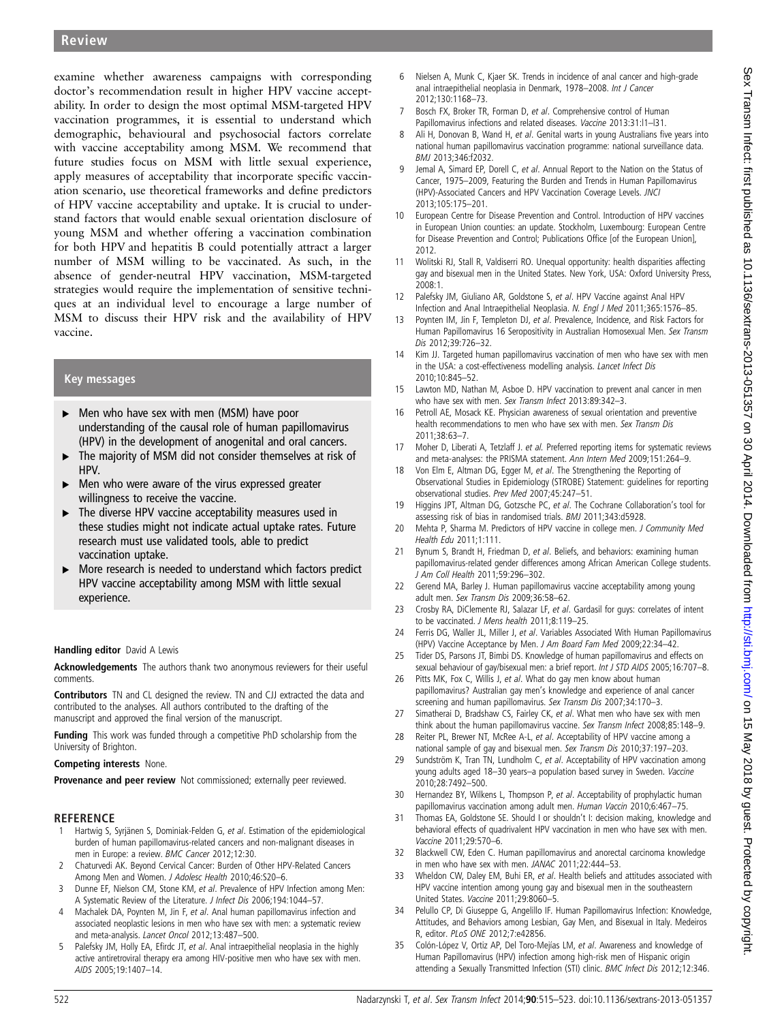<span id="page-7-0"></span>examine whether awareness campaigns with corresponding doctor's recommendation result in higher HPV vaccine acceptability. In order to design the most optimal MSM-targeted HPV vaccination programmes, it is essential to understand which demographic, behavioural and psychosocial factors correlate with vaccine acceptability among MSM. We recommend that future studies focus on MSM with little sexual experience, apply measures of acceptability that incorporate specific vaccination scenario, use theoretical frameworks and define predictors of HPV vaccine acceptability and uptake. It is crucial to understand factors that would enable sexual orientation disclosure of young MSM and whether offering a vaccination combination for both HPV and hepatitis B could potentially attract a larger number of MSM willing to be vaccinated. As such, in the absence of gender-neutral HPV vaccination, MSM-targeted strategies would require the implementation of sensitive techniques at an individual level to encourage a large number of MSM to discuss their HPV risk and the availability of HPV vaccine.

## Key messages

- ▸ Men who have sex with men (MSM) have poor understanding of the causal role of human papillomavirus (HPV) in the development of anogenital and oral cancers.
- The majority of MSM did not consider themselves at risk of HPV.
- Men who were aware of the virus expressed greater willingness to receive the vaccine.
- ▸ The diverse HPV vaccine acceptability measures used in these studies might not indicate actual uptake rates. Future research must use validated tools, able to predict vaccination uptake.
- More research is needed to understand which factors predict HPV vaccine acceptability among MSM with little sexual experience.

#### Handling editor David A Lewis

Acknowledgements The authors thank two anonymous reviewers for their useful comments.

Contributors TN and CL designed the review. TN and CJJ extracted the data and contributed to the analyses. All authors contributed to the drafting of the manuscript and approved the final version of the manuscript.

Funding This work was funded through a competitive PhD scholarship from the University of Brighton.

#### Competing interests None.

Provenance and peer review Not commissioned; externally peer reviewed.

#### **REFERENCE**

- 1 Hartwig S, Syrjänen S, Dominiak-Felden G, et al. Estimation of the epidemiological burden of human papillomavirus-related cancers and non-malignant diseases in men in Europe: a review. BMC Cancer 2012;12:30.
- 2 Chaturvedi AK. Beyond Cervical Cancer: Burden of Other HPV-Related Cancers Among Men and Women. J Adolesc Health 2010;46:S20–6.
- 3 Dunne EF, Nielson CM, Stone KM, et al. Prevalence of HPV Infection among Men: A Systematic Review of the Literature. J Infect Dis 2006;194:1044–57.
- 4 Machalek DA, Poynten M, Jin F, et al. Anal human papillomavirus infection and associated neoplastic lesions in men who have sex with men: a systematic review and meta-analysis. Lancet Oncol 2012;13:487–500.
- Palefsky JM, Holly EA, Efirdc JT, et al. Anal intraepithelial neoplasia in the highly active antiretroviral therapy era among HIV-positive men who have sex with men. AIDS 2005;19:1407–14.
- 6 Nielsen A, Munk C, Kjaer SK. Trends in incidence of anal cancer and high-grade anal intraepithelial neoplasia in Denmark, 1978–2008. Int J Cancer 2012;130:1168–73.
- 7 Bosch FX, Broker TR, Forman D, et al. Comprehensive control of Human Papillomavirus infections and related diseases. Vaccine 2013:31:l1–l31.
- 8 Ali H, Donovan B, Wand H, et al. Genital warts in young Australians five years into national human papillomavirus vaccination programme: national surveillance data. BMJ 2013;346:f2032.
- Jemal A, Simard EP, Dorell C, et al. Annual Report to the Nation on the Status of Cancer, 1975–2009, Featuring the Burden and Trends in Human Papillomavirus (HPV)-Associated Cancers and HPV Vaccination Coverage Levels. JNCI 2013;105:175–201.
- 10 European Centre for Disease Prevention and Control. Introduction of HPV vaccines in European Union counties: an update. Stockholm, Luxembourg: European Centre for Disease Prevention and Control; Publications Office [of the European Union], 2012.
- 11 Wolitski RJ, Stall R, Valdiserri RO. Unequal opportunity: health disparities affecting gay and bisexual men in the United States. New York, USA: Oxford University Press, 2008:1.
- 12 Palefsky JM, Giuliano AR, Goldstone S, et al. HPV Vaccine against Anal HPV Infection and Anal Intraepithelial Neoplasia. N. Engl J Med 2011;365:1576–85.
- 13 Poynten IM, Jin F, Templeton DJ, et al. Prevalence, Incidence, and Risk Factors for Human Papillomavirus 16 Seropositivity in Australian Homosexual Men. Sex Transm Dis 2012;39:726–32.
- 14 Kim JJ. Targeted human papillomavirus vaccination of men who have sex with men in the USA: a cost-effectiveness modelling analysis. Lancet Infect Dis 2010;10:845–52.
- 15 Lawton MD, Nathan M, Asboe D. HPV vaccination to prevent anal cancer in men who have sex with men. Sex Transm Infect 2013:89:342–3.
- 16 Petroll AE, Mosack KE. Physician awareness of sexual orientation and preventive health recommendations to men who have sex with men. Sex Transm Dis 2011;38:63–7.
- 17 Moher D, Liberati A, Tetzlaff J. et al. Preferred reporting items for systematic reviews and meta-analyses: the PRISMA statement. Ann Intern Med 2009;151:264–9.
- 18 Von Elm E, Altman DG, Egger M, et al. The Strengthening the Reporting of Observational Studies in Epidemiology (STROBE) Statement: guidelines for reporting observational studies. Prev Med 2007;45:247–51.
- 19 Higgins JPT, Altman DG, Gotzsche PC, et al. The Cochrane Collaboration's tool for assessing risk of bias in randomised trials. BMJ 2011;343:d5928.
- 20 Mehta P, Sharma M. Predictors of HPV vaccine in college men. J Community Med Health Edu 2011;1:111.
- 21 Bynum S, Brandt H, Friedman D, et al. Beliefs, and behaviors: examining human papillomavirus-related gender differences among African American College students. J Am Coll Health 2011;59:296–302.
- 22 Gerend MA, Barley J. Human papillomavirus vaccine acceptability among young adult men. Sex Transm Dis 2009;36:58–62.
- 23 Crosby RA, DiClemente RJ, Salazar LF, et al. Gardasil for guys: correlates of intent to be vaccinated. *J Mens health* 2011;8:119-25.
- 24 Ferris DG, Waller JL, Miller J, et al. Variables Associated With Human Papillomavirus (HPV) Vaccine Acceptance by Men. J Am Board Fam Med 2009;22:34–42.
- 25 Tider DS, Parsons JT, Bimbi DS. Knowledge of human papillomavirus and effects on sexual behaviour of gay/bisexual men: a brief report. Int J STD AIDS 2005;16:707-8.
- 26 Pitts MK, Fox C, Willis J, et al. What do gay men know about human papillomavirus? Australian gay men's knowledge and experience of anal cancer screening and human papillomavirus. Sex Transm Dis 2007;34:170–3.
- 27 Simatherai D, Bradshaw CS, Fairley CK, et al. What men who have sex with men think about the human papillomavirus vaccine. Sex Transm Infect 2008;85:148–9.
- 28 Reiter PL, Brewer NT, McRee A-L, et al. Acceptability of HPV vaccine among a national sample of gay and bisexual men. Sex Transm Dis 2010;37:197–203.
- 29 Sundström K, Tran TN, Lundholm C, et al. Acceptability of HPV vaccination among young adults aged 18–30 years–a population based survey in Sweden. Vaccine 2010;28:7492–500.
- 30 Hernandez BY, Wilkens L, Thompson P, et al. Acceptability of prophylactic human papillomavirus vaccination among adult men. Human Vaccin 2010;6:467-75.
- 31 Thomas EA, Goldstone SE. Should I or shouldn't I: decision making, knowledge and behavioral effects of quadrivalent HPV vaccination in men who have sex with men. Vaccine 2011;29:570–6.
- 32 Blackwell CW, Eden C. Human papillomavirus and anorectal carcinoma knowledge in men who have sex with men. JANAC 2011;22:444–53.
- 33 Wheldon CW, Daley EM, Buhi ER, et al. Health beliefs and attitudes associated with HPV vaccine intention among young gay and bisexual men in the southeastern United States. Vaccine 2011;29:8060–5.
- 34 Pelullo CP, Di Giuseppe G, Angelillo IF. Human Papillomavirus Infection: Knowledge, Attitudes, and Behaviors among Lesbian, Gay Men, and Bisexual in Italy. Medeiros R, editor. PLoS ONE 2012;7:e42856.
- 35 Colón-López V, Ortiz AP, Del Toro-Mejías LM, et al. Awareness and knowledge of Human Papillomavirus (HPV) infection among high-risk men of Hispanic origin attending a Sexually Transmitted Infection (STI) clinic. BMC Infect Dis 2012;12:346.